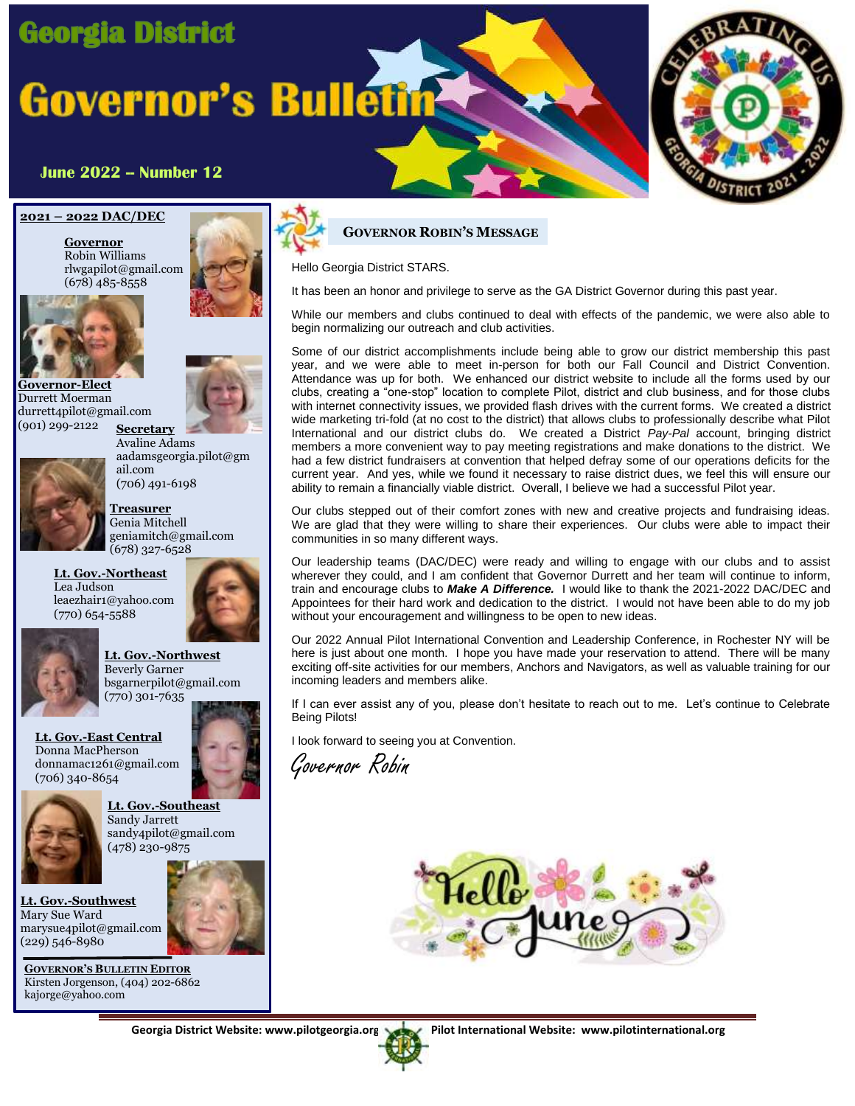## **Georgia District**

# **Governor's Bulletin**



#### **June 2022 -- Number 12**

#### **2021 – 2022 DAC/DEC**

**Governor** Robin Williams rlwgapilot@gmail.com (678) 485-8558



**Governor-Elect** Durrett Moerman durrett4pilot@gmail.com



(901) 299-2122 **Secretary**



Avaline Adams aadamsgeorgia.pilot@gm ail.com (706) 491-6198

**Treasurer** Genia Mitchell geniamitch@gmail.com (678) 327-6528

**Lt. Gov.-Northeast** Lea Judson leaezhair1@yahoo.com (770) 654-5588





**Lt. Gov.-Northwest** Beverly Garner bsgarnerpilot@gmail.com (770) 301-7635

**Lt. Gov.-East Central** Donna MacPherson donnamac1261@gmail.com (706) 340-8654



**Lt. Gov.-Southeast** Sandy Jarrett sandy4pilot@gmail.com (478) 230-9875

**Lt. Gov.-Southwest** Mary Sue Ward marysue4pilot@gmail.com (229) 546-8980



**GOVERNOR'S BULLETIN EDITOR** Kirsten Jorgenson, (404) 202-6862 kajorge@yahoo.com





Hello Georgia District STARS.

It has been an honor and privilege to serve as the GA District Governor during this past year.

While our members and clubs continued to deal with effects of the pandemic, we were also able to begin normalizing our outreach and club activities.

Some of our district accomplishments include being able to grow our district membership this past year, and we were able to meet in-person for both our Fall Council and District Convention. Attendance was up for both. We enhanced our district website to include all the forms used by our clubs, creating a "one-stop" location to complete Pilot, district and club business, and for those clubs with internet connectivity issues, we provided flash drives with the current forms. We created a district wide marketing tri-fold (at no cost to the district) that allows clubs to professionally describe what Pilot International and our district clubs do. We created a District *Pay-Pal* account, bringing district members a more convenient way to pay meeting registrations and make donations to the district. We had a few district fundraisers at convention that helped defray some of our operations deficits for the current year. And yes, while we found it necessary to raise district dues, we feel this will ensure our ability to remain a financially viable district. Overall, I believe we had a successful Pilot year.

Our clubs stepped out of their comfort zones with new and creative projects and fundraising ideas. We are glad that they were willing to share their experiences. Our clubs were able to impact their communities in so many different ways.

Our leadership teams (DAC/DEC) were ready and willing to engage with our clubs and to assist wherever they could, and I am confident that Governor Durrett and her team will continue to inform, train and encourage clubs to *Make A Difference.* I would like to thank the 2021-2022 DAC/DEC and Appointees for their hard work and dedication to the district. I would not have been able to do my job without your encouragement and willingness to be open to new ideas.

Our 2022 Annual Pilot International Convention and Leadership Conference, in Rochester NY will be here is just about one month. I hope you have made your reservation to attend. There will be many exciting off-site activities for our members, Anchors and Navigators, as well as valuable training for our incoming leaders and members alike.

If I can ever assist any of you, please don't hesitate to reach out to me. Let's continue to Celebrate Being Pilots!

I look forward to seeing you at Convention.

Governor Robin



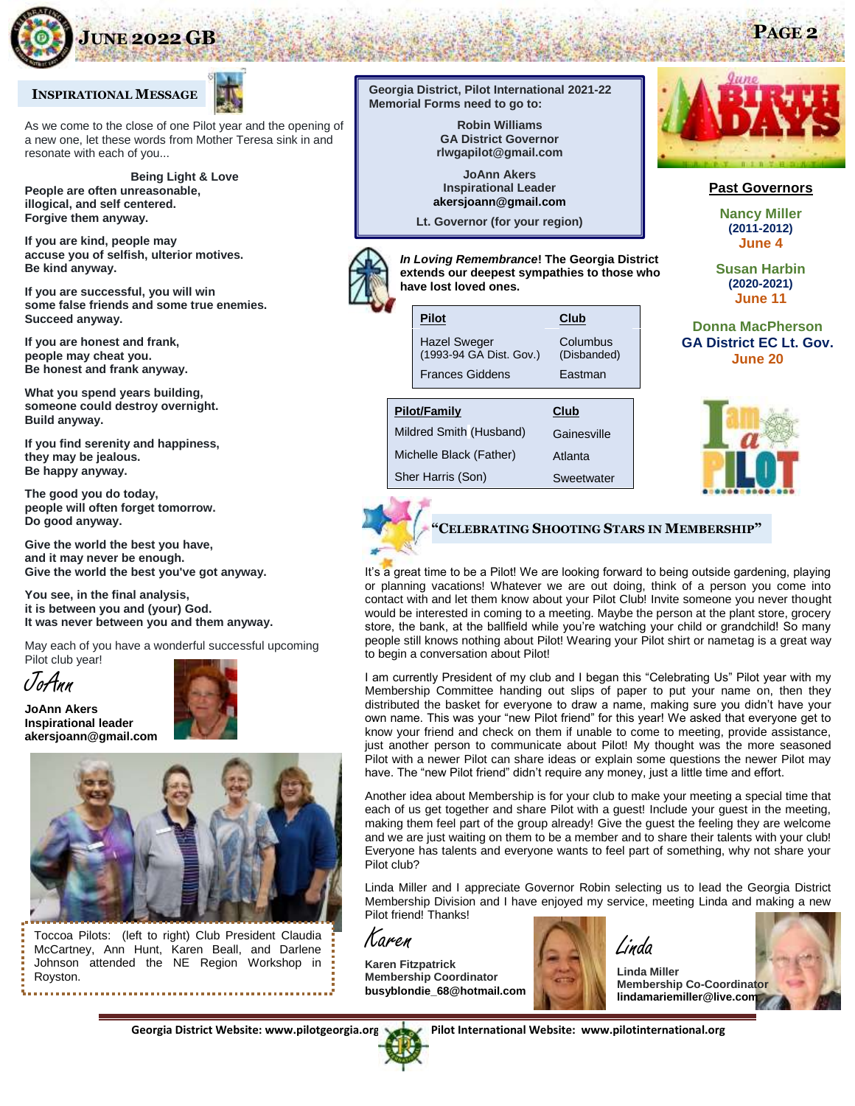

#### **INSPIRATIONAL MESSAGE**

As we come to the close of one Pilot year and the opening of a new one, let these words from Mother Teresa sink in and resonate with each of you...

**Being Light & Love People are often unreasonable, illogical, and self centered. Forgive them anyway.**

**If you are kind, people may accuse you of selfish, ulterior motives. Be kind anyway.**

**If you are successful, you will win some false friends and some true enemies. Succeed anyway.**

**If you are honest and frank, people may cheat you. Be honest and frank anyway.**

**What you spend years building, someone could destroy overnight. Build anyway.**

**If you find serenity and happiness, they may be jealous. Be happy anyway.**

**The good you do today, people will often forget tomorrow. Do good anyway.**

**Give the world the best you have, and it may never be enough. Give the world the best you've got anyway.**

**You see, in the final analysis, it is between you and (your) God. It was never between you and them anyway.**

May each of you have a wonderful successful upcoming Pilot club year!

JoAnn

**JoAnn Akers Inspirational leader akersjoann@gmail.com**





Toccoa Pilots: (left to right) Club President Claudia McCartney, Ann Hunt, Karen Beall, and Darlene Johnson attended the NE Region Workshop in Royston. **Georgia District, Pilot International 2021-22 Memorial Forms need to go to:**

> **Robin Williams GA District Governor rlwgapilot@gmail.com**

**JoAnn Akers Inspirational Leader akersjoann@gmail.com**

**Lt. Governor (for your region)**

| <b>Pilot</b><br><b>Hazel Sweger</b><br>(1993-94 GA Dist. Gov.)<br><b>Frances Giddens</b> | Club<br>Columbus<br>(Disbanded)<br>Eastman |  |  |
|------------------------------------------------------------------------------------------|--------------------------------------------|--|--|
| Pilot/Family<br>Club                                                                     |                                            |  |  |

*In Loving Remembrance***! The Georgia District** 

*In Loving Remembrance***! The Georgia District extends our deepest sympathies to those who**

Mildred Smith (Husband) Gainesville **have lost loved ones.** Michelle Black (Father) Atlanta

**have lost loved ones.**

Sher Harris (Son) **Sweetwater extends our deepest sympathies to those who have lost loved ones.**



**Past Governors**

**Nancy Miller (2011-2012) June 4**

**Susan Harbin (2020-2021) June 11**

**Donna MacPherson GA District EC Lt. Gov. June 20**



### **"CELEBRATING SHOOTING STARS IN MEMBERSHIP"**

**extends our deepest sympathies to those who**  It's a great time to be a Pilot! We are looking forward to being outside gardening, playing *In Loving Remembrance***! The Georgia District**  store, the bank, at the ballfield while you're watching your child or grandchild! So many **extends our deepest sympathies to those who**  people still knows nothing about Pilot! Wearing your Pilot shirt or nametag is a great way **have lost loved ones.** to begin a conversation about Pilot! or planning vacations! Whatever we are out doing, think of a person you come into contact with and let them know about your Pilot Club! Invite someone you never thought would be interested in coming to a meeting. Maybe the person at the plant store, grocery

Membership Committee handing out slips of paper to put your name on, then they distributed the basket for everyone to draw a name, making sure you didn't have your **have lost loved ones.** own name. This was your "new Pilot friend" for this year! We asked that everyone get to **INTA HOWEL FIFUL CALL SHALE REGIS OF EXPIANT SUMS**<br>The "now Dilet friend" didn't require any menoy ive have. The "new Pilot friend" didn't require any money, just a little time and effort. I am currently President of my club and I began this "Celebrating Us" Pilot year with my know your friend and check on them if unable to come to meeting, provide assistance, just another person to communicate about Pilot! My thought was the more seasoned Pilot with a newer Pilot can share ideas or explain some questions the newer Pilot may

Another idea about Membership is for your club to make your meeting a special time that each of us get together and share Pilot with a guest! Include your guest in the meeting, making them feel part of the group already! Give the guest the feeling they are welcome and we are just waiting on them to be a member and to share their talents with your club! Everyone has talents and everyone wants to feel part of something, why not share your Pilot club?

Linda Miller and I appreciate Governor Robin selecting us to lead the Georgia District Membership Division and I have enjoyed my service, meeting Linda and making a new Pilot friend! Thanks!

Karen

**Karen Fitzpatrick Membership Coordinator busyblondie\_68@hotmail.com**



**Linda Miller Membership Co-Coordinator lindamariemiller@live.com**

Georgia District Website: www.pilotgeorgia.org **Pilot International Website: www.pilotinternational.org** 



**JUNE 2022 GB PAGE 2**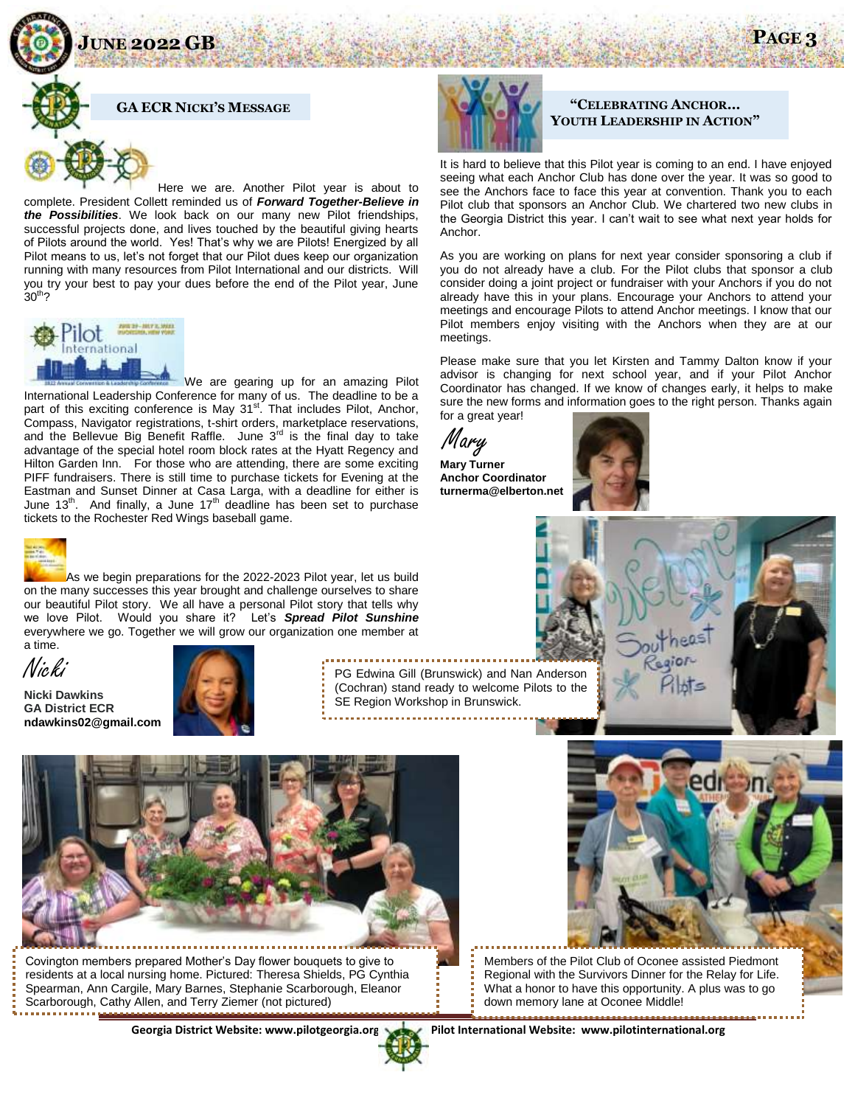**JUNE 2022 GB PAGE 3**





Here we are. Another Pilot year is about to complete. President Collett reminded us of *Forward Together-Believe in the Possibilities*. We look back on our many new Pilot friendships, successful projects done, and lives touched by the beautiful giving hearts of Pilots around the world. Yes! That's why we are Pilots! Energized by all Pilot means to us, let's not forget that our Pilot dues keep our organization running with many resources from Pilot International and our districts. Will you try your best to pay your dues before the end of the Pilot year, June  $30<sup>th</sup>$ ?



We are gearing up for an amazing Pilot International Leadership Conference for many of us. The deadline to be a part of this exciting conference is May  $31<sup>st</sup>$ . That includes Pilot, Anchor, Compass, Navigator registrations, t-shirt orders, marketplace reservations, and the Bellevue Big Benefit Raffle. June  $3^{rd}$  is the final day to take advantage of the special hotel room block rates at the Hyatt Regency and Hilton Garden Inn. For those who are attending, there are some exciting PIFF fundraisers. There is still time to purchase tickets for Evening at the Eastman and Sunset Dinner at Casa Larga, with a deadline for either is June 13<sup>th</sup>. And finally, a June 17<sup>th</sup> deadline has been set to purchase tickets to the Rochester Red Wings baseball game.



As we begin preparations for the 2022-2023 Pilot year, let us build on the many successes this year brought and challenge ourselves to share our beautiful Pilot story. We all have a personal Pilot story that tells why we love Pilot. Would you share it? Let's *Spread Pilot Sunshine* everywhere we go. Together we will grow our organization one member at a time.



**Nicki Dawkins GA District ECR ndawkins02@gmail.com**



PG Edwina Gill (Brunswick) and Nan Anderson (Cochran) stand ready to welcome Pilots to the SE Region Workshop in Brunswick.



Covington members prepared Mother's Day flower bouquets to give to residents at a local nursing home. Pictured: Theresa Shields, PG Cynthia Spearman, Ann Cargile, Mary Barnes, Stephanie Scarborough, Eleanor Scarborough, Cathy Allen, and Terry Ziemer (not pictured)



#### **"CELEBRATING ANCHOR… YOUTH LEADERSHIP IN ACTION"**

It is hard to believe that this Pilot year is coming to an end. I have enjoyed seeing what each Anchor Club has done over the year. It was so good to see the Anchors face to face this year at convention. Thank you to each Pilot club that sponsors an Anchor Club. We chartered two new clubs in the Georgia District this year. I can't wait to see what next year holds for Anchor.

As you are working on plans for next year consider sponsoring a club if you do not already have a club. For the Pilot clubs that sponsor a club consider doing a joint project or fundraiser with your Anchors if you do not already have this in your plans. Encourage your Anchors to attend your meetings and encourage Pilots to attend Anchor meetings. I know that our Pilot members enjoy visiting with the Anchors when they are at our meetings.

Please make sure that you let Kirsten and Tammy Dalton know if your advisor is changing for next school year, and if your Pilot Anchor Coordinator has changed. If we know of changes early, it helps to make sure the new forms and information goes to the right person. Thanks again for a great year!

.Mary

**Mary Turner Anchor Coordinator turnerma@elberton.net**





Members of the Pilot Club of Oconee assisted Piedmont Regional with the Survivors Dinner for the Relay for Life. What a honor to have this opportunity. A plus was to go down memory lane at Oconee Middle!

Georgia District Website: www.pilotgeorgia.org Pilot International Website: www.pilotinternational.org